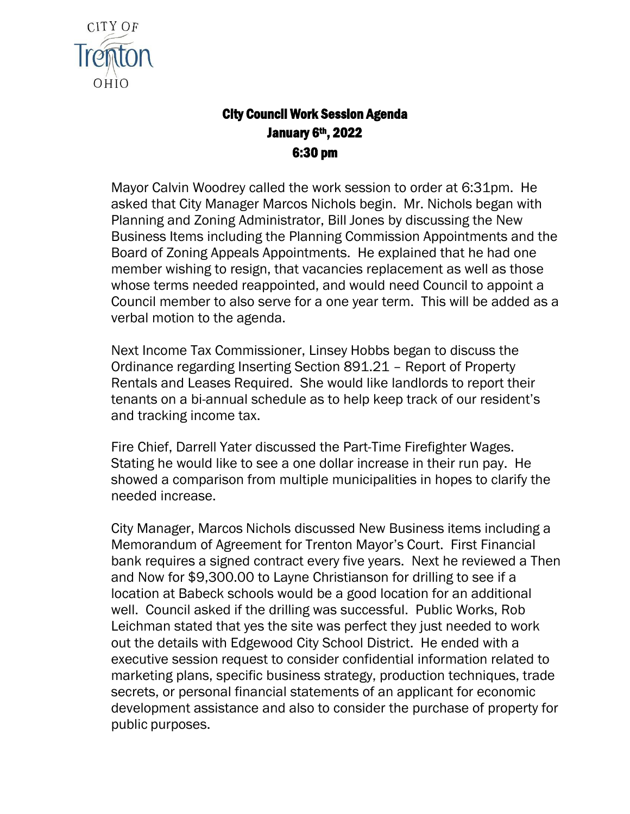

## City Council Work Session Agenda January 6<sup>th</sup>, 2022 6:30 pm

Mayor Calvin Woodrey called the work session to order at 6:31pm. He asked that City Manager Marcos Nichols begin. Mr. Nichols began with Planning and Zoning Administrator, Bill Jones by discussing the New Business Items including the Planning Commission Appointments and the Board of Zoning Appeals Appointments. He explained that he had one member wishing to resign, that vacancies replacement as well as those whose terms needed reappointed, and would need Council to appoint a Council member to also serve for a one year term. This will be added as a verbal motion to the agenda.

Next Income Tax Commissioner, Linsey Hobbs began to discuss the Ordinance regarding Inserting Section 891.21 – Report of Property Rentals and Leases Required. She would like landlords to report their tenants on a bi-annual schedule as to help keep track of our resident's and tracking income tax.

Fire Chief, Darrell Yater discussed the Part-Time Firefighter Wages. Stating he would like to see a one dollar increase in their run pay. He showed a comparison from multiple municipalities in hopes to clarify the needed increase.

City Manager, Marcos Nichols discussed New Business items including a Memorandum of Agreement for Trenton Mayor's Court. First Financial bank requires a signed contract every five years. Next he reviewed a Then and Now for \$9,300.00 to Layne Christianson for drilling to see if a location at Babeck schools would be a good location for an additional well. Council asked if the drilling was successful. Public Works, Rob Leichman stated that yes the site was perfect they just needed to work out the details with Edgewood City School District. He ended with a executive session request to consider confidential information related to marketing plans, specific business strategy, production techniques, trade secrets, or personal financial statements of an applicant for economic development assistance and also to consider the purchase of property for public purposes.